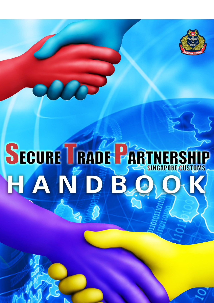

# SECURE TRADE PARTNERSHIP HANDB.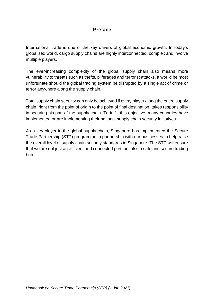#### **Preface**

International trade is one of the key drivers of global economic growth. In today's globalised world, cargo supply chains are highly interconnected, complex and involve multiple players.

The ever-increasing complexity of the global supply chain also means more vulnerability to threats such as thefts, pilferages and terrorist attacks. It would be most unfortunate should the global trading system be disrupted by a single act of crime or terror anywhere along the supply chain.

Total supply chain security can only be achieved if every player along the entire supply chain, right from the point of origin to the point of final destination, takes responsibility in securing his part of the supply chain. To fulfill this objective, many countries have implemented or are implementing their national supply chain security initiatives.

As a key player in the global supply chain, Singapore has implemented the Secure Trade Partnership (STP) programme in partnership with our businesses to help raise the overall level of supply chain security standards in Singapore. The STP will ensure that we are not just an efficient and connected port, but also a safe and secure trading hub.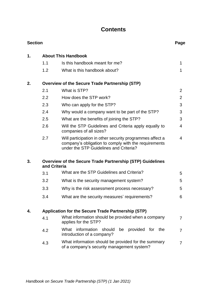#### **Contents**

| <b>Section</b> |              |                                                                                                                                                            | Page           |  |  |  |  |
|----------------|--------------|------------------------------------------------------------------------------------------------------------------------------------------------------------|----------------|--|--|--|--|
| $\mathbf 1$ .  |              | <b>About This Handbook</b>                                                                                                                                 |                |  |  |  |  |
|                | 1.1          | Is this handbook meant for me?                                                                                                                             | 1              |  |  |  |  |
|                | 1.2          | What is this handbook about?                                                                                                                               | 1              |  |  |  |  |
| 2.             |              | <b>Overview of the Secure Trade Partnership (STP)</b>                                                                                                      |                |  |  |  |  |
|                | 2.1          | What is STP?                                                                                                                                               | 2              |  |  |  |  |
|                | 2.2          | How does the STP work?                                                                                                                                     | $\overline{2}$ |  |  |  |  |
|                | 2.3          | Who can apply for the STP?                                                                                                                                 | 3              |  |  |  |  |
|                | 2.4          | Why would a company want to be part of the STP?                                                                                                            | 3              |  |  |  |  |
|                | 2.5          | What are the benefits of joining the STP?                                                                                                                  | 3              |  |  |  |  |
|                | 2.6          | Will the STP Guidelines and Criteria apply equally to<br>companies of all sizes?                                                                           | 4              |  |  |  |  |
|                | 2.7          | Will participation in other security programmes affect a<br>company's obligation to comply with the requirements<br>under the STP Guidelines and Criteria? | 4              |  |  |  |  |
| 3.             | and Criteria | <b>Overview of the Secure Trade Partnership (STP) Guidelines</b>                                                                                           |                |  |  |  |  |
|                | 3.1          | What are the STP Guidelines and Criteria?                                                                                                                  | 5              |  |  |  |  |
|                | 3.2          | What is the security management system?                                                                                                                    | 5              |  |  |  |  |
|                | 3.3          | Why is the risk assessment process necessary?                                                                                                              | 5              |  |  |  |  |
|                | 3.4          | What are the security measures' requirements?                                                                                                              | 6              |  |  |  |  |
| 4.             |              | Application for the Secure Trade Partnership (STP)                                                                                                         |                |  |  |  |  |
|                | 4.1          | What information should be provided when a company<br>applies for the STP?                                                                                 | 7              |  |  |  |  |
|                | 4.2          | What information<br>should<br>provided for the<br>be<br>introduction of a company?                                                                         | 7              |  |  |  |  |
|                | 4.3          | What information should be provided for the summary<br>of a company's security management system?                                                          | 7              |  |  |  |  |
|                |              |                                                                                                                                                            |                |  |  |  |  |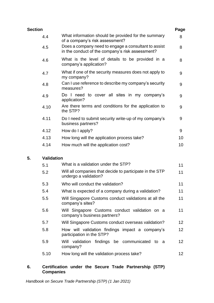| Section |                                                                                                          | Page |
|---------|----------------------------------------------------------------------------------------------------------|------|
| 4.4     | What information should be provided for the summary<br>of a company's risk assessment?                   | 8    |
| 4.5     | Does a company need to engage a consultant to assist<br>in the conduct of the company's risk assessment? | 8    |
| 4.6     | What is the level of details to be provided in a<br>company's application?                               | 8    |
| 4.7     | What if one of the security measures does not apply to<br>my company?                                    | 9    |
| 4.8     | Can I use reference to describe my company's security<br>measures?                                       | 9    |
| 4.9     | Do I need to cover all sites in my company's<br>application?                                             | 9    |
| 4.10    | Are there terms and conditions for the application to<br>the STP?                                        | 9    |
| 4.11    | Do I need to submit security write-up of my company's<br>business partners?                              | 9    |
| 4.12    | How do I apply?                                                                                          | 9    |
| 4.13    | How long will the application process take?                                                              | 10   |
| 4.14    | How much will the application cost?                                                                      | 10   |

#### **5. Validation**

| 5.1  | What is a validation under the STP?                                                     |    |
|------|-----------------------------------------------------------------------------------------|----|
| 5.2  | Will all companies that decide to participate in the STP<br>11<br>undergo a validation? |    |
| 5.3  | Who will conduct the validation?                                                        | 11 |
| 5.4  | What is expected of a company during a validation?                                      | 11 |
| 5.5  | Will Singapore Customs conduct validations at all the<br>company's sites?               | 11 |
| 5.6  | Will Singapore Customs conduct validation on a<br>company's business partners?          | 11 |
| 5.7  | Will Singapore Customs conduct overseas validation?                                     | 12 |
| 5.8  | How will validation findings impact a company's<br>participation in the STP?            | 12 |
| 5.9  | validation findings be communicated<br>Will<br>to<br>- a<br>company?                    | 12 |
| 5.10 | How long will the validation process take?                                              | 12 |

#### **6. Certification under the Secure Trade Partnership (STP) Companies**

*Handbook on Secure Trade Partnership (STP) (1 Jan 2021)*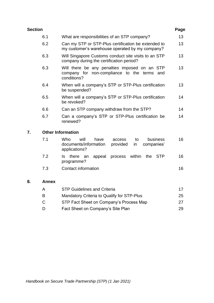| Section |                                                                                                                | Page            |
|---------|----------------------------------------------------------------------------------------------------------------|-----------------|
| 6.1     | What are responsibilities of an STP company?                                                                   | 13              |
| 6.2     | Can my STP or STP-Plus certification be extended to<br>my customer's warehouse operated by my company?         | 13 <sup>2</sup> |
| 6.3     | Will Singapore Customs conduct site visits to an STP<br>company during the certification period?               | 13 <sup>°</sup> |
| 6.3     | Will there be any penalties imposed on an STP<br>company for non-compliance to the terms<br>and<br>conditions? | 13              |
| 6.4     | When will a company's STP or STP-Plus certification<br>be suspended?                                           | 13              |
| 6.5     | When will a company's STP or STP-Plus certification<br>be revoked?                                             | 14              |
| 6.6     | Can an STP company withdraw from the STP?                                                                      | 14              |
| 6.7     | Can a company's STP or STP-Plus certification be<br>renewed?                                                   | 14              |
|         |                                                                                                                |                 |

#### **7. Other Information**

| 7.1 | Who<br>will<br>have<br>documents/information<br>applications? | access<br>provided in | to | companies' | business | 16 |
|-----|---------------------------------------------------------------|-----------------------|----|------------|----------|----|
| 7.2 | Is there an appeal process within the STP<br>programme?       |                       |    |            |          | 16 |
| 7.3 | Contact information                                           |                       |    |            |          | 16 |

#### **8. Annex**

| A | <b>STP Guidelines and Criteria</b>         |     |
|---|--------------------------------------------|-----|
| B | Mandatory Criteria to Qualify for STP-Plus | 25  |
| C | STP Fact Sheet on Company's Process Map    | 27  |
| D | Fact Sheet on Company's Site Plan          | 29. |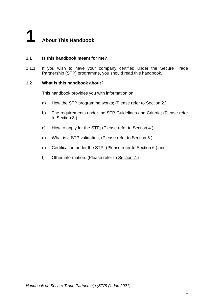# **1 About This Handbook**

#### **1.1 Is this handbook meant for me?**

1.1.1 If you wish to have your company certified under the Secure Trade Partnership (STP) programme, you should read this handbook.

#### **1.2 What is this handbook about?**

This handbook provides you with information on:

- a) How the STP programme works; (Please refer to Section 2.)
- b) The requirements under the STP Guidelines and Criteria; (Please refer to Section 3.)
- c) How to apply for the STP; (Please refer to Section 4.)
- d) What is a STP validation; (Please refer to Section 5.)
- e) Certification under the STP; (Please refer to Section 6.) and
- f) Other information. (Please refer to Section 7.)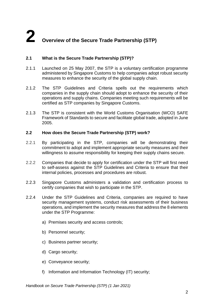# **2 Overview of the Secure Trade Partnership (STP)**

#### **2.1 What is the Secure Trade Partnership (STP)?**

- 2.1.1 Launched on 25 May 2007, the STP is a voluntary certification programme administered by Singapore Customs to help companies adopt robust security measures to enhance the security of the global supply chain.
- 2.1.2 The STP Guidelines and Criteria spells out the requirements which companies in the supply chain should adopt to enhance the security of their operations and supply chains. Companies meeting such requirements will be certified as STP companies by Singapore Customs.
- 2.1.3 The STP is consistent with the World Customs Organisation (WCO) SAFE Framework of Standards to secure and facilitate global trade, adopted in June 2005.

#### **2.2 How does the Secure Trade Partnership (STP) work?**

- 2.2.1 By participating in the STP, companies will be demonstrating their commitment to adopt and implement appropriate security measures and their willingness to assume responsibility for keeping their supply chains secure.
- 2.2.2 Companies that decide to apply for certification under the STP will first need to self-assess against the STP Guidelines and Criteria to ensure that their internal policies, processes and procedures are robust.
- 2.2.3 Singapore Customs administers a validation and certification process to certify companies that wish to participate in the STP.
- 2.2.4 Under the STP Guidelines and Criteria, companies are required to have security management systems, conduct risk assessments of their business operations, and implement the security measures that address the 8 elements under the STP Programme:
	- a) Premises security and access controls;
	- b) Personnel security;
	- c) Business partner security;
	- d) Cargo security;
	- e) Conveyance security;
	- f) Information and Information Technology (IT) security;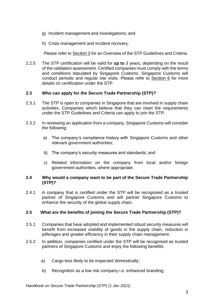- g) Incident management and investigations; and
- h) Crisis management and incident recovery.

Please refer to Section 3 for an Overview of the STP Guidelines and Criteria.

2.2.5 The STP certification will be valid for **up to** 3 years, depending on the result of the validation assessment. Certified companies must comply with the terms and conditions stipulated by Singapore Customs. Singapore Customs will conduct periodic and regular site visits. Please refer to Section 6 for more details on certification under the STP.

#### **2.3 Who can apply for the Secure Trade Partnership (STP)?**

- 2.3.1 The STP is open to companies in Singapore that are involved in supply chain activities. Companies which believe that they can meet the requirements under the STP Guidelines and Criteria can apply to join the STP.
- 2.3.2 In reviewing an application from a company, Singapore Customs will consider the following:
	- a) The company's compliance history with Singapore Customs and other relevant government authorities;
	- b) The company's security measures and standards; and
	- c) Related information on the company from local and/or foreign government authorities, where appropriate.

#### **2.4 Why would a company want to be part of the Secure Trade Partnership (STP)?**

2.4.1 A company that is certified under the STP will be recognised as a trusted partner of Singapore Customs and will partner Singapore Customs to enhance the security of the global supply chain.

#### **2.5 What are the benefits of joining the Secure Trade Partnership (STP)?**

- 2.5.1 Companies that have adopted and implemented robust security measures will benefit from increased visibility of goods in the supply chain, reduction in pilferages and greater efficiency in their supply chain management.
- 2.5.2 In addition, companies certified under the STP will be recognised as trusted partners of Singapore Customs and enjoy the following benefits:
	- a) Cargo less likely to be inspected domestically;
	- b) Recognition as a low risk company i.e. enhanced branding;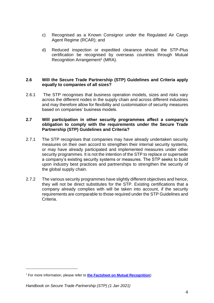- c) Recognised as a Known Consignor under the Regulated Air Cargo Agent Regime (RCAR); and
- d) Reduced inspection or expedited clearance should the STP-Plus certification be recognised by overseas countries through Mutual Recognition Arrangement<sup>1</sup> (MRA).

#### **2.6 Will the Secure Trade Partnership (STP) Guidelines and Criteria apply equally to companies of all sizes?**

2.6.1 The STP recognises that business operation models, sizes and risks vary across the different nodes in the supply chain and across different industries and may therefore allow for flexibility and customisation of security measures based on companies' business models.

#### **2.7 Will participation in other security programmes affect a company's obligation to comply with the requirements under the Secure Trade Partnership (STP) Guidelines and Criteria?**

- 2.7.1 The STP recognises that companies may have already undertaken security measures on their own accord to strengthen their internal security systems, or may have already participated and implemented measures under other security programmes. It is not the intention of the STP to replace or supersede a company's existing security systems or measures. The STP seeks to build upon industry best practices and partnerships to strengthen the security of the global supply chain.
- 2.7.2 The various security programmes have slightly different objectives and hence, they will not be direct substitutes for the STP. Existing certifications that a company already complies with will be taken into account, if the security requirements are comparable to those required under the STP Guidelines and Criteria.

<sup>&</sup>lt;sup>1</sup> For more information, please refer to [the Factsheet on Mutual Recognition](https://www.customs.gov.sg/documents/businesses/Factsheet%20on%20MRA%20(updated%20June%202020).pdf))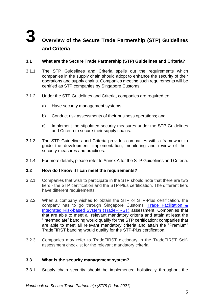## **3 Overview of the Secure Trade Partnership (STP) Guidelines and Criteria**

#### **3.1 What are the Secure Trade Partnership (STP) Guidelines and Criteria?**

- 3.1.1 The STP Guidelines and Criteria spells out the requirements which companies in the supply chain should adopt to enhance the security of their operations and supply chains. Companies meeting such requirements will be certified as STP companies by Singapore Customs.
- 3.1.2 Under the STP Guidelines and Criteria, companies are required to:
	- a) Have security management systems;
	- b) Conduct risk assessments of their business operations; and
	- c) Implement the stipulated security measures under the STP Guidelines and Criteria to secure their supply chains.
- 3.1.3 The STP Guidelines and Criteria provides companies with a framework to guide the development, implementation, monitoring and review of their security measures and practices.
- 3.1.4 For more details, please refer to Annex A for the STP Guidelines and Criteria.

#### **3.2 How do I know if I can meet the requirements?**

- 3.2.1 Companies that wish to participate in the STP should note that there are two tiers - the STP certification and the STP-Plus certification. The different tiers have different requirements.
- 3.2.2 When a company wishes to obtain the STP or STP-Plus certification, the company has to go through Singapore Customs' [Trade Facilitation &](https://www.customs.gov.sg/businesses/customs-schemes-licences-framework/trade-first)  [Integrated Risk-based System \(TradeFIRST\)](https://www.customs.gov.sg/businesses/customs-schemes-licences-framework/trade-first) assessment. Companies that that are able to meet all relevant mandatory criteria and attain at least the "Intermediate" banding would qualify for the STP certification; companies that are able to meet all relevant mandatory criteria and attain the "Premium" TradeFIRST banding would qualify for the STP-Plus certification.
- 3.2.3 Companies may refer to TradeFIRST dictionary in the TradeFIRST Selfassessment checklist for the relevant mandatory criteria.

#### **3.3 What is the security management system?**

3.3.1 Supply chain security should be implemented holistically throughout the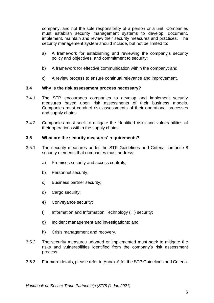company, and not the sole responsibility of a person or a unit. Companies must establish security management systems to develop, document, implement, maintain and review their security measures and practices. The security management system should include, but not be limited to:

- a) A framework for establishing and reviewing the company's security policy and objectives, and commitment to security;
- b) A framework for effective communication within the company; and
- c) A review process to ensure continual relevance and improvement.

#### **3.4 Why is the risk assessment process necessary?**

- 3.4.1 The STP encourages companies to develop and implement security measures based upon risk assessments of their business models. Companies must conduct risk assessments of their operational processes and supply chains.
- 3.4.2 Companies must seek to mitigate the identified risks and vulnerabilities of their operations within the supply chains.

#### **3.5 What are the security measures' requirements?**

- 3.5.1 The security measures under the STP Guidelines and Criteria comprise 8 security elements that companies must address:
	- a) Premises security and access controls;
	- b) Personnel security;
	- c) Business partner security;
	- d) Cargo security;
	- e) Conveyance security;
	- f) Information and Information Technology (IT) security;
	- g) Incident management and investigations; and
	- h) Crisis management and recovery.
- 3.5.2 The security measures adopted or implemented must seek to mitigate the risks and vulnerabilities identified from the company's risk assessment process.
- 3.5.3 For more details, please refer to Annex A for the STP Guidelines and Criteria.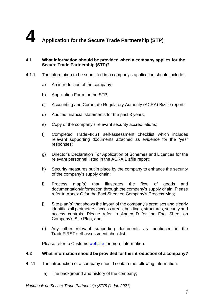# **4 Application for the Secure Trade Partnership (STP)**

#### **4.1 What information should be provided when a company applies for the Secure Trade Partnership (STP)?**

- 4.1.1 The information to be submitted in a company's application should include:
	- a) An introduction of the company;
	- b) Application Form for the STP;
	- c) Accounting and Corporate Regulatory Authority (ACRA) Bizfile report;
	- d) Audited financial statements for the past 3 years;
	- e) Copy of the company's relevant security accreditations;
	- f) Completed TradeFIRST self-assessment checklist which includes relevant supporting documents attached as evidence for the "yes" responses;
	- g) Director's Declaration For Application of Schemes and Licences for the relevant personnel listed in the ACRA Bizfile report;
	- h) Security measures put in place by the company to enhance the security of the company's supply chain;
	- i) Process map(s) that illustrates the flow of goods and documentation/information through the company's supply chain. Please refer to Annex C for the Fact Sheet on Company's Process Map;
	- j) Site plan(s) that shows the layout of the company's premises and clearly identifies all perimeters, access areas, buildings, structures, security and access controls. Please refer to Annex D for the Fact Sheet on Company's Site Plan; and
	- (f) Any other relevant supporting documents as mentioned in the TradeFIRST self-assessment checklist.

Please refer to Customs [website](https://www.customs.gov.sg/businesses/customs-schemes-licences-framework/secure-trade-partnership-stp) for more information.

#### **4.2 What information should be provided for the introduction of a company?**

- 4.2.1 The introduction of a company should contain the following information:
	- a) The background and history of the company;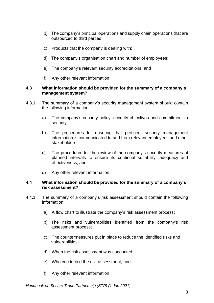- b) The company's principal operations and supply chain operations that are outsourced to third parties;
- c) Products that the company is dealing with;
- d) The company's organisation chart and number of employees;
- e) The company's relevant security accreditations; and
- f) Any other relevant information.

#### **4.3 What information should be provided for the summary of a company's management system?**

- 4.3.1 The summary of a company's security management system should contain the following information:
	- a) The company's security policy, security objectives and commitment to security;
	- b) The procedures for ensuring that pertinent security management information is communicated to and from relevant employees and other stakeholders;
	- c) The procedures for the review of the company's security measures at planned intervals to ensure its continual suitability, adequacy and effectiveness; and
	- d) Any other relevant information.

#### **4.4 What information should be provided for the summary of a company's risk assessment?**

- 4.4.1 The summary of a company's risk assessment should contain the following information:
	- a) A flow chart to illustrate the company's risk assessment process;
	- b) The risks and vulnerabilities identified from the company's risk assessment process;
	- c) The countermeasures put in place to reduce the identified risks and vulnerabilities;
	- d) When the risk assessment was conducted;
	- e) Who conducted the risk assessment; and
	- f) Any other relevant information.

*Handbook on Secure Trade Partnership (STP) (1 Jan 2021)*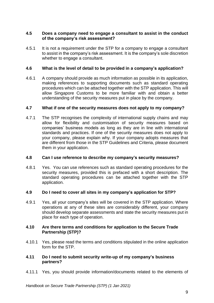#### **4.5 Does a company need to engage a consultant to assist in the conduct of the company's risk assessment?**

4.5.1 It is not a requirement under the STP for a company to engage a consultant to assist in the company's risk assessment. It is the company's sole discretion whether to engage a consultant.

#### **4.6 What is the level of detail to be provided in a company's application?**

4.6.1 A company should provide as much information as possible in its application, making references to supporting documents such as standard operating procedures which can be attached together with the STP application. This will allow Singapore Customs to be more familiar with and obtain a better understanding of the security measures put in place by the company.

#### **4.7 What if one of the security measures does not apply to my company?**

4.7.1 The STP recognises the complexity of international supply chains and may allow for flexibility and customisation of security measures based on companies' business models as long as they are in line with international standards and practices. If one of the security measures does not apply to your company, please explain why. If your company adopts measures that are different from those in the STP Guidelines and Criteria, please document them in your application.

#### **4.8 Can I use reference to describe my company's security measures?**

4.8.1 Yes. You can use references such as standard operating procedures for the security measures, provided this is prefaced with a short description. The standard operating procedures can be attached together with the STP application.

#### **4.9 Do I need to cover all sites in my company's application for STP?**

4.9.1 Yes, all your company's sites will be covered in the STP application. Where operations at any of these sites are considerably different, your company should develop separate assessments and state the security measures put in place for each type of operation.

#### **4.10 Are there terms and conditions for application to the Secure Trade Partnership (STP)?**

4.10.1 Yes, please read the terms and conditions stipulated in the online application form for the STP.

#### **4.11 Do I need to submit security write-up of my company's business partners?**

4.11.1 Yes, you should provide information/documents related to the elements of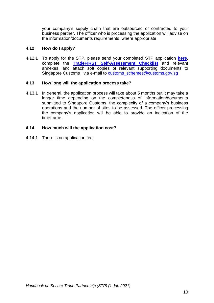your company's supply chain that are outsourced or contracted to your business partner. The officer who is processing the application will advise on the information/documents requirements, where appropriate.

#### **4.12 How do I apply?**

4.12.1 To apply for the STP, please send your completed STP application **[here](https://form.gov.sg/#!/5d2d7ffc690755001137c917)**, complete the **[TradeFIRST Self-Assessment Checklist](https://www.customs.gov.sg/documents/businesses/SEB/TradeFIRST%20Self%20Assessment%20Checklist%205Aug2020.xlsx)** and relevant annexes, and attach soft copies of relevant supporting documents to Singapore Customs via e-mail to [customs\\_schemes@customs.gov.sg](mailto:customs_schemes@customs.gov.sg)

#### **4.13 How long will the application process take?**

4.13.1 In general, the application process will take about 5 months but it may take a longer time depending on the completeness of information/documents submitted to Singapore Customs, the complexity of a company's business operations and the number of sites to be assessed. The officer processing the company's application will be able to provide an indication of the timeframe.

#### **4.14 How much will the application cost?**

4.14.1 There is no application fee.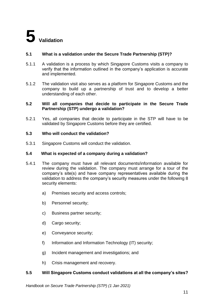#### **5.1 What is a validation under the Secure Trade Partnership (STP)?**

- 5.1.1 A validation is a process by which Singapore Customs visits a company to verify that the information outlined in the company's application is accurate and implemented.
- 5.1.2 The validation visit also serves as a platform for Singapore Customs and the company to build up a partnership of trust and to develop a better understanding of each other.

#### **5.2 Will all companies that decide to participate in the Secure Trade Partnership (STP) undergo a validation?**

5.2.1 Yes, all companies that decide to participate in the STP will have to be validated by Singapore Customs before they are certified.

#### **5.3 Who will conduct the validation?**

5.3.1 Singapore Customs will conduct the validation.

#### **5.4 What is expected of a company during a validation?**

- 5.4.1 The company must have all relevant documents/information available for review during the validation. The company must arrange for a tour of the company's site(s) and have company representatives available during the validation to address the company's security measures under the following 8 security elements:
	- a) Premises security and access controls;
	- b) Personnel security;
	- c) Business partner security;
	- d) Cargo security;
	- e) Conveyance security;
	- f) Information and Information Technology (IT) security;
	- g) Incident management and investigations; and
	- h) Crisis management and recovery.

#### **5.5 Will Singapore Customs conduct validations at all the company's sites?**

*Handbook on Secure Trade Partnership (STP) (1 Jan 2021)*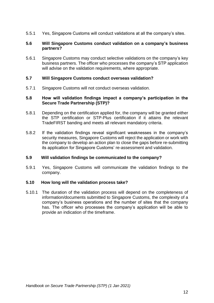5.5.1 Yes, Singapore Customs will conduct validations at all the company's sites.

#### **5.6 Will Singapore Customs conduct validation on a company's business partners?**

5.6.1 Singapore Customs may conduct selective validations on the company's key business partners. The officer who processes the company's STP application will advise on the validation requirements, where appropriate.

#### **5.7 Will Singapore Customs conduct overseas validation?**

5.7.1 Singapore Customs will not conduct overseas validation.

#### **5.8 How will validation findings impact a company's participation in the Secure Trade Partnership (STP)?**

- 5.8.1 Depending on the certification applied for, the company will be granted either the STP certification or STP-Plus certification if it attains the relevant TradeFIRST banding and meets all relevant mandatory criteria.
- 5.8.2 If the validation findings reveal significant weaknesses in the company's security measures, Singapore Customs will reject the application or work with the company to develop an action plan to close the gaps before re-submitting its application for Singapore Customs' re-assessment and validation.

#### **5.9 Will validation findings be communicated to the company?**

5.9.1 Yes, Singapore Customs will communicate the validation findings to the company.

#### **5.10 How long will the validation process take?**

5.10.1 The duration of the validation process will depend on the completeness of information/documents submitted to Singapore Customs, the complexity of a company's business operations and the number of sites that the company has. The officer who processes the company's application will be able to provide an indication of the timeframe.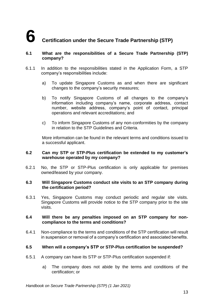#### **6.1 What are the responsibilities of a Secure Trade Partnership (STP) company?**

- 6.1.1 In addition to the responsibilities stated in the Application Form, a STP company's responsibilities include:
	- a) To update Singapore Customs as and when there are significant changes to the company's security measures;
	- b) To notify Singapore Customs of all changes to the company's information including company's name, corporate address, contact number, website address, company's point of contact, principal operations and relevant accreditations; and
	- c) To inform Singapore Customs of any non-conformities by the company in relation to the STP Guidelines and Criteria.

More information can be found in the relevant terms and conditions issued to a successful applicant.

#### **6.2 Can my STP or STP-Plus certification be extended to my customer's warehouse operated by my company?**

6.2.1 No, the STP or STP-Plus certification is only applicable for premises owned/leased by your company.

#### **6.3 Will Singapore Customs conduct site visits to an STP company during the certification period?**

6.3.1 Yes, Singapore Customs may conduct periodic and regular site visits. Singapore Customs will provide notice to the STP company prior to the site visits.

#### **6.4 Will there be any penalties imposed on an STP company for noncompliance to the terms and conditions?**

6.4.1 Non-compliance to the terms and conditions of the STP certification will result in suspension or removal of a company's certification and associated benefits.

#### **6.5 When will a company's STP or STP-Plus certification be suspended?**

- 6.5.1 A company can have its STP or STP-Plus certification suspended if:
	- a) The company does not abide by the terms and conditions of the certification; or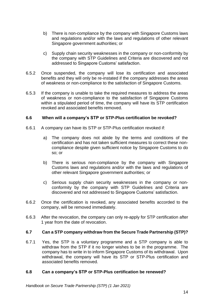- b) There is non-compliance by the company with Singapore Customs laws and regulations and/or with the laws and regulations of other relevant Singapore government authorities; or
- c) Supply chain security weaknesses in the company or non-conformity by the company with STP Guidelines and Criteria are discovered and not addressed to Singapore Customs' satisfaction.
- 6.5.2 Once suspended, the company will lose its certification and associated benefits and they will only be re-instated if the company addresses the areas of weakness or non-compliance to the satisfaction of Singapore Customs.
- 6.5.3 If the company is unable to take the required measures to address the areas of weakness or non-compliance to the satisfaction of Singapore Customs within a stipulated period of time, the company will have its STP certification revoked and associated benefits removed.

#### **6.6 When will a company's STP or STP-Plus certification be revoked?**

- 6.6.1 A company can have its STP or STP-Plus certification revoked if:
	- a) The company does not abide by the terms and conditions of the certification and has not taken sufficient measures to correct these noncompliance despite given sufficient notice by Singapore Customs to do so; or
	- b) There is serious non-compliance by the company with Singapore Customs laws and regulations and/or with the laws and regulations of other relevant Singapore government authorities; or
	- c) Serious supply chain security weaknesses in the company or nonconformity by the company with STP Guidelines and Criteria are discovered and not addressed to Singapore Customs' satisfaction.
- 6.6.2 Once the certification is revoked, any associated benefits accorded to the company, will be removed immediately.
- 6.6.3 After the revocation, the company can only re-apply for STP certification after 1 year from the date of revocation.

#### **6.7 Can a STP company withdraw from the Secure Trade Partnership (STP)?**

6.7.1 Yes, the STP is a voluntary programme and a STP company is able to withdraw from the STP if it no longer wishes to be in the programme. The company has to write in to inform Singapore Customs of its withdrawal. Upon withdrawal, the company will have its STP or STP-Plus certification and associated benefits removed.

#### **6.8 Can a company's STP or STP-Plus certification be renewed?**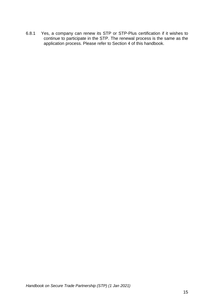6.8.1 Yes, a company can renew its STP or STP-Plus certification if it wishes to continue to participate in the STP. The renewal process is the same as the application process. Please refer to Section 4 of this handbook.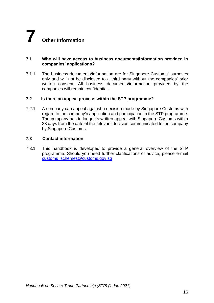# **7 Other Information**

#### **7.1 Who will have access to business documents/information provided in companies' applications?**

7.1.1 The business documents/information are for Singapore Customs' purposes only and will not be disclosed to a third party without the companies' prior written consent. All business documents/information provided by the companies will remain confidential.

#### **7.2 Is there an appeal process within the STP programme?**

7.2.1 A company can appeal against a decision made by Singapore Customs with regard to the company's application and participation in the STP programme. The company has to lodge its written appeal with Singapore Customs within 28 days from the date of the relevant decision communicated to the company by Singapore Customs.

#### **7.3 Contact information**

7.3.1 This handbook is developed to provide a general overview of the STP programme. Should you need further clarifications or advice, please e-mail [customs\\_schemes@customs.gov.sg](mailto:customs_schemes@customs.gov.sg)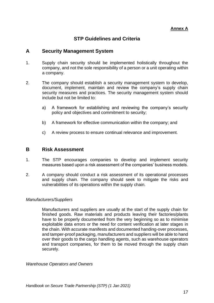#### **Annex A**

#### **STP Guidelines and Criteria**

#### **A Security Management System**

- 1. Supply chain security should be implemented holistically throughout the company, and not the sole responsibility of a person or a unit operating within a company.
- 2. The company should establish a security management system to develop, document, implement, maintain and review the company's supply chain security measures and practices. The security management system should include but not be limited to:
	- a) A framework for establishing and reviewing the company's security policy and objectives and commitment to security;
	- b) A framework for effective communication within the company; and
	- c) A review process to ensure continual relevance and improvement.

#### **B Risk Assessment**

- 1. The STP encourages companies to develop and implement security measures based upon a risk assessment of the companies' business models.
- 2. A company should conduct a risk assessment of its operational processes and supply chain. The company should seek to mitigate the risks and vulnerabilities of its operations within the supply chain.

#### *Manufacturers/Suppliers*

Manufacturers and suppliers are usually at the start of the supply chain for finished goods. Raw materials and products leaving their factories/plants have to be properly documented from the very beginning so as to minimise exploitable data errors or the need for content verification at later stages in the chain. With accurate manifests and documented handing-over processes, and tamper-proof packaging, manufacturers and suppliers will be able to hand over their goods to the cargo handling agents, such as warehouse operators and transport companies, for them to be moved through the supply chain securely.

*Warehouse Operators and Owners*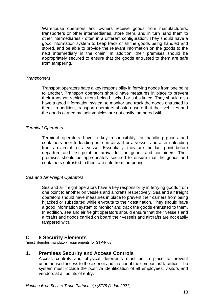Warehouse operators and owners receive goods from manufacturers, transporters or other intermediaries, store them, and in turn hand them to other intermediaries - often in a different configuration. They should have a good information system to keep track of all the goods being handled and stored, and be able to provide the relevant information on the goods to the next intermediary in the chain. In addition, their premises should be appropriately secured to ensure that the goods entrusted to them are safe from tampering.

#### *Transporters*

Transport operators have a key responsibility in ferrying goods from one point to another. Transport operators should have measures in place to prevent their transport vehicles from being hijacked or substituted. They should also have a good information system to monitor and track the goods entrusted to them. In addition, transport operators should ensure that their vehicles and the goods carried by their vehicles are not easily tampered with.

#### *Terminal Operators*

Terminal operators have a key responsibility for handling goods and containers prior to loading onto an aircraft or a vessel, and after unloading from an aircraft or a vessel. Essentially, they are the last point before departure and first point on arrival for the goods and containers. Their premises should be appropriately secured to ensure that the goods and containers entrusted to them are safe from tampering.

#### *Sea and Air Freight Operators*

Sea and air freight operators have a key responsibility in ferrying goods from one point to another on vessels and aircrafts respectively. Sea and air freight operators should have measures in place to prevent their carriers from being hijacked or substituted while en-route to their destination. They should have a good information system to monitor and track the goods entrusted to them. In addition, sea and air freight operators should ensure that their vessels and aircrafts and goods carried on board their vessels and aircrafts are not easily tampered with.

#### **C 8 Security Elements**

"must" denotes mandatory requirements for STP-Plus

#### **1. Premises Security and Access Controls**

Access controls and physical deterrents must be in place to prevent unauthorised access to the exterior and interior of the companies' facilities. The system must include the positive identification of all employees, visitors and vendors at all points of entry.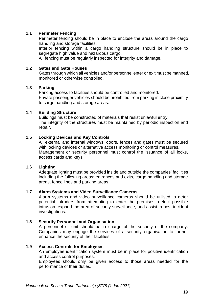#### **1.1 Perimeter Fencing**

Perimeter fencing should be in place to enclose the areas around the cargo handling and storage facilities.

Interior fencing within a cargo handling structure should be in place to segregate high value and hazardous cargo.

All fencing must be regularly inspected for integrity and damage.

#### **1.2 Gates and Gate Houses**

Gates through which all vehicles and/or personnel enter or exit must be manned, monitored or otherwise controlled.

#### **1.3 Parking**

Parking access to facilities should be controlled and monitored. Private passenger vehicles should be prohibited from parking in close proximity to cargo handling and storage areas.

#### **1.4 Building Structure**

Buildings must be constructed of materials that resist unlawful entry. The integrity of the structures must be maintained by periodic inspection and repair.

#### **1.5 Locking Devices and Key Controls**

All external and internal windows, doors, fences and gates must be secured with locking devices or alternative access monitoring or control measures. Management or security personnel must control the issuance of all locks, access cards and keys.

#### **1.6 Lighting**

Adequate lighting must be provided inside and outside the companies' facilities including the following areas: entrances and exits, cargo handling and storage areas, fence lines and parking areas.

#### **1.7 Alarm Systems and Video Surveillance Cameras**

Alarm systems and video surveillance cameras should be utilised to deter potential intruders from attempting to enter the premises, detect possible intrusion, expand the area of security surveillance, and assist in post-incident investigations.

#### **1.8 Security Personnel and Organisation**

A personnel or unit should be in charge of the security of the company. Companies may engage the services of a security organisation to further enhance the security of their facilities.

#### **1.9 Access Controls for Employees**

An employee identification system must be in place for positive identification and access control purposes.

Employees should only be given access to those areas needed for the performance of their duties.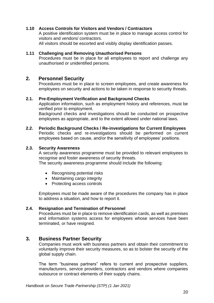#### **1.10 Access Controls for Visitors and Vendors / Contractors**

A positive identification system must be in place to manage access control for visitors and vendors/ contractors.

All visitors should be escorted and visibly display identification passes.

#### **1.11 Challenging and Removing Unauthorised Persons**

Procedures must be in place for all employees to report and challenge any unauthorised or unidentified persons.

#### **2. Personnel Security**

Procedures must be in place to screen employees, and create awareness for employees on security and actions to be taken in response to security threats.

#### **2.1. Pre-Employment Verification and Background Checks**

Application information, such as employment history and references, must be verified prior to employment.

Background checks and investigations should be conducted on prospective employees as appropriate, and to the extent allowed under national laws.

#### **2.2. Periodic Background Checks / Re-investigations for Current Employees**

Periodic checks and re-investigations should be performed on current employees based on cause, and/or the sensitivity of employees' positions.

#### **2.3. Security Awareness**

A security awareness programme must be provided to relevant employees to recognise and foster awareness of security threats.

The security awareness programme should include the following:

- Recognising potential risks
- Maintaining cargo integrity
- Protecting access controls

Employees must be made aware of the procedures the company has in place to address a situation, and how to report it.

#### **2.4. Resignation and Termination of Personnel**

Procedures must be in place to remove identification cards, as well as premises and information systems access for employees whose services have been terminated, or have resigned.

#### **3. Business Partner Security**

Companies must work with business partners and obtain their commitment to voluntarily improve their security measures, so as to bolster the security of the global supply chain.

The term "business partners" refers to current and prospective suppliers, manufacturers, service providers, contractors and vendors where companies outsource or contract elements of their supply chains.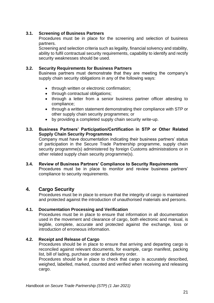#### **3.1. Screening of Business Partners**

Procedures must be in place for the screening and selection of business partners.

Screening and selection criteria such as legality, financial solvency and stability, ability to fulfil contractual security requirements, capability to identify and rectify security weaknesses should be used.

#### **3.2. Security Requirements for Business Partners**

Business partners must demonstrate that they are meeting the company's supply chain security obligations in any of the following ways:

- through written or electronic confirmation;
- through contractual obligations;
- through a letter from a senior business partner officer attesting to compliance;
- through a written statement demonstrating their compliance with STP or other supply chain security programmes; or
- by providing a completed supply chain security write-up.

#### **3.3. Business Partners' Participation/Certification in STP or Other Related Supply Chain Security Programmes**

Company must have documentation indicating their business partners' status of participation in the Secure Trade Partnership programme, supply chain security programme(s) administered by foreign Customs administrations or in other related supply chain security programme(s).

#### **3.4. Review of Business Partners' Compliance to Security Requirements**  Procedures must be in place to monitor and review business partners' compliance to security requirements.

#### **4. Cargo Security**

Procedures must be in place to ensure that the integrity of cargo is maintained and protected against the introduction of unauthorised materials and persons.

#### **4.1. Documentation Processing and Verification**

Procedures must be in place to ensure that information in all documentation used in the movement and clearance of cargo, both electronic and manual, is legible, complete, accurate and protected against the exchange, loss or introduction of erroneous information.

#### **4.2. Receipt and Release of Cargo**

Procedures should be in place to ensure that arriving and departing cargo is reconciled against relevant documents, for example, cargo manifest, packing list, bill of lading, purchase order and delivery order.

Procedures should be in place to check that cargo is accurately described, weighed, labelled, marked, counted and verified when receiving and releasing cargo.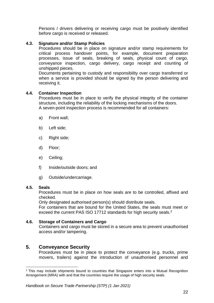Persons / drivers delivering or receiving cargo must be positively identified before cargo is received or released.

#### **4.3. Signature and/or Stamp Policies**

Procedures should be in place on signature and/or stamp requirements for critical process handover points, for example, document preparation processes, issue of seals, breaking of seals, physical count of cargo, conveyance inspection, cargo delivery, cargo receipt and counting of unshipped pieces.

Documents pertaining to custody and responsibility over cargo transferred or when a service is provided should be signed by the person delivering and receiving it.

#### **4.4. Container Inspection**

Procedures must be in place to verify the physical integrity of the container structure, including the reliability of the locking mechanisms of the doors. A seven-point inspection process is recommended for all containers:

- a) Front wall;
- b) Left side;
- c) Right side;
- d) Floor;
- e) Ceiling;
- f) Inside/outside doors; and
- g) Outside/undercarriage.

#### **4.5. Seals**

Procedures must be in place on how seals are to be controlled, affixed and checked.

Only designated authorised person(s) should distribute seals.

For containers that are bound for the United States, the seals must meet or exceed the current PAS ISO 17712 standards for high security seals.<sup>2</sup>

#### **4.6. Storage of Containers and Cargo**

Containers and cargo must be stored in a secure area to prevent unauthorised access and/or tampering.

#### **5. Conveyance Security**

Procedures must be in place to protect the conveyance (e.g. trucks, prime movers, trailers) against the introduction of unauthorised personnel and

<sup>&</sup>lt;sup>2</sup> This may include shipments bound to countries that Singapore enters into a Mutual Recognition Arrangement (MRA) with and that the countries require the usage of high security seals.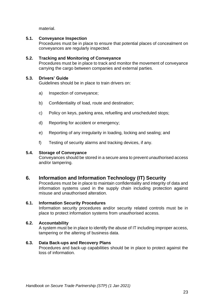material.

#### **5.1. Conveyance Inspection**

Procedures must be in place to ensure that potential places of concealment on conveyances are regularly inspected.

#### **5.2. Tracking and Monitoring of Conveyance**

Procedures must be in place to track and monitor the movement of conveyance carrying the cargo between companies and external parties.

#### **5.3. Drivers' Guide**

Guidelines should be in place to train drivers on:

- a) Inspection of conveyance;
- b) Confidentiality of load, route and destination;
- c) Policy on keys, parking area, refuelling and unscheduled stops;
- d) Reporting for accident or emergency;
- e) Reporting of any irregularity in loading, locking and sealing; and
- f) Testing of security alarms and tracking devices, if any.

#### **5.4. Storage of Conveyance**

Conveyances should be stored in a secure area to prevent unauthorised access and/or tampering.

#### **6. Information and Information Technology (IT) Security**

Procedures must be in place to maintain confidentiality and integrity of data and information systems used in the supply chain including protection against misuse and unauthorised alteration.

#### **6.1. Information Security Procedures**

Information security procedures and/or security related controls must be in place to protect information systems from unauthorised access.

#### **6.2. Accountability**

A system must be in place to identify the abuse of IT including improper access, tampering or the altering of business data.

#### **6.3. Data Back-ups and Recovery Plans**

Procedures and back-up capabilities should be in place to protect against the loss of information.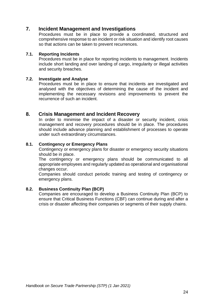#### **7. Incident Management and Investigations**

Procedures must be in place to provide a coordinated, structured and comprehensive response to an incident or risk situation and identify root causes so that actions can be taken to prevent recurrences.

#### **7.1. Reporting Incidents**

Procedures must be in place for reporting incidents to management. Incidents include short landing and over landing of cargo, irregularity or illegal activities and security breaches.

#### **7.2. Investigate and Analyse**

Procedures must be in place to ensure that incidents are investigated and analysed with the objectives of determining the cause of the incident and implementing the necessary revisions and improvements to prevent the recurrence of such an incident.

#### **8. Crisis Management and Incident Recovery**

In order to minimise the impact of a disaster or security incident, crisis management and recovery procedures should be in place. The procedures should include advance planning and establishment of processes to operate under such extraordinary circumstances.

#### **8.1. Contingency or Emergency Plans**

Contingency or emergency plans for disaster or emergency security situations should be in place.

The contingency or emergency plans should be communicated to all appropriate employees and regularly updated as operational and organisational changes occur.

Companies should conduct periodic training and testing of contingency or emergency plans.

#### **8.2. Business Continuity Plan (BCP)**

Companies are encouraged to develop a Business Continuity Plan (BCP) to ensure that Critical Business Functions (CBF) can continue during and after a crisis or disaster affecting their companies or segments of their supply chains.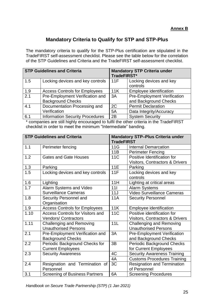#### **Annex B**

#### **Mandatory Criteria to Qualify for STP and STP-Plus**

The mandatory criteria to qualify for the STP-Plus certification are stipulated in the TradeFIRST self-assessment checklist. Please see the table below for the correlation of the STP Guidelines and Criteria and the TradeFIRST self-assessment checklist.

|     | <b>STP Guidelines and Criteria</b>                          | <b>Mandatory STP Criteria under</b><br>TradeFIRST* |                                                             |  |
|-----|-------------------------------------------------------------|----------------------------------------------------|-------------------------------------------------------------|--|
| 1.5 | Locking devices and key controls                            | 11F                                                | Locking devices and key<br>controls                         |  |
| 1.9 | <b>Access Controls for Employees</b>                        | 11K                                                | Employee identification                                     |  |
| 2.1 | Pre-Employment Verification and<br><b>Background Checks</b> | 3A                                                 | <b>Pre-Employment Verification</b><br>and Background Checks |  |
| 4.1 | Documentation Processing and                                | 2C                                                 | <b>Permit Declaration</b>                                   |  |
|     | Verification                                                | 5A                                                 | Data Integrity/Accuracy                                     |  |
| 6.1 | <b>Information Security Procedures</b>                      | 2B                                                 | <b>System Security</b>                                      |  |

\* companies are still highly encouraged to fulfil the other criteria in the TradeFIRST checklist in order to meet the minimum "Intermediate" banding.

| <b>STP Guidelines and Criteria</b> |                                         | <b>Mandatory STP-Plus Criteria under</b><br><b>TradeFIRST</b> |                                            |  |
|------------------------------------|-----------------------------------------|---------------------------------------------------------------|--------------------------------------------|--|
| 1.1                                | Perimeter fencing                       | 11G                                                           | <b>Internal Demarcation</b>                |  |
|                                    |                                         | 11B                                                           | <b>Perimeter Fencing</b>                   |  |
| 1.2                                | <b>Gates and Gate Houses</b>            | 11 <sub>C</sub>                                               | Positive Identification for                |  |
|                                    |                                         |                                                               | Visitors, Contractors & Drivers            |  |
| 1.3                                | Parking                                 | <b>11E</b>                                                    | Parking                                    |  |
| 1.5                                | Locking devices and key controls        | 11F                                                           | Locking devices and key                    |  |
|                                    |                                         |                                                               | controls                                   |  |
| 1.6                                | Lighting                                | 11H                                                           | Lighting at critical areas                 |  |
| 1.7                                | Alarm Systems and Video                 | 111                                                           | <b>Alarm Systems</b>                       |  |
|                                    | <b>Surveillance Cameras</b>             | 11J                                                           | Video Surveillance Cameras                 |  |
| 1.8                                | Security Personnel and                  | <b>11A</b>                                                    | <b>Security Personnel</b>                  |  |
|                                    | Organisation                            |                                                               |                                            |  |
| 1.9                                | <b>Access Controls for Employees</b>    | 11K                                                           | Employee identification                    |  |
| 1.10                               | <b>Access Controls for Visitors and</b> | <b>11C</b>                                                    | Positive identification for                |  |
|                                    | <b>Vendors/Contractors</b>              |                                                               | <b>Visitors, Contractors &amp; Drivers</b> |  |
| 1.11                               | <b>Challenging and Removing</b>         | 11L                                                           | <b>Challenging and Removing</b>            |  |
|                                    | <b>Unauthorised Persons</b>             |                                                               | <b>Unauthorised Persons</b>                |  |
| 2.1                                | Pre-Employment Verification and         | 3A                                                            | <b>Pre-Employment Verification</b>         |  |
|                                    | <b>Background Checks</b>                |                                                               | and Background Checks                      |  |
| 2.2                                | Periodic Background Checks for          | 3B                                                            | <b>Periodic Background Checks</b>          |  |
|                                    | <b>Current Employees</b>                |                                                               | for Current Employees                      |  |
| 2.3                                | <b>Security Awareness</b>               | 4C                                                            | <b>Security Awareness Training</b>         |  |
|                                    |                                         | 4A                                                            | <b>Customs Procedures Training</b>         |  |
| 2.4                                | Resignation and Termination of          | 3C                                                            | <b>Resignation and Termination</b>         |  |
|                                    | Personnel                               |                                                               | of Personnel                               |  |
| 3.1                                | <b>Screening of Business Partners</b>   | 6A                                                            | <b>Screening Procedures</b>                |  |

*Handbook on Secure Trade Partnership (STP) (1 Jan 2021)*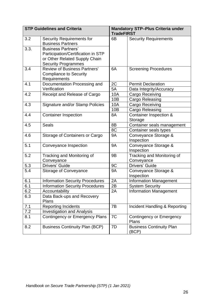|      | <b>STP Guidelines and Criteria</b>                                                               | <b>Mandatory STP-Plus Criteria under</b><br><b>TradeFIRST</b> |                                          |  |
|------|--------------------------------------------------------------------------------------------------|---------------------------------------------------------------|------------------------------------------|--|
| 3.2  | <b>Security Requirements for</b><br><b>Business Partners</b>                                     | 6B                                                            | <b>Security Requirements</b>             |  |
| 3.3. | <b>Business Partners'</b><br>Participation/Certification in STP<br>or Other Related Supply Chain |                                                               |                                          |  |
|      | <b>Security Programmes</b>                                                                       |                                                               |                                          |  |
| 3.4  | <b>Review of Business Partners'</b><br><b>Compliance to Security</b><br>Requirements             | 6A                                                            | <b>Screening Procedures</b>              |  |
| 4.1  | Documentation Processing and                                                                     | 2C                                                            | <b>Permit Declaration</b>                |  |
|      | Verification                                                                                     | 5A                                                            | Data Integrity/Accuracy                  |  |
| 4.2  | Receipt and Release of Cargo                                                                     | 10A                                                           | Cargo Receiving                          |  |
|      |                                                                                                  | 10B                                                           | Cargo Releasing                          |  |
| 4.3  | Signature and/or Stamp Policies                                                                  | <b>10A</b>                                                    | Cargo Receiving                          |  |
|      |                                                                                                  | 10B                                                           | Cargo Releasing                          |  |
| 4.4  | <b>Container Inspection</b>                                                                      | 8A                                                            | Container Inspection &<br>Storage        |  |
| 4.5  | <b>Seals</b>                                                                                     | 8B                                                            | Container seals management               |  |
|      |                                                                                                  | 8C                                                            | Container seals types                    |  |
| 4.6  | Storage of Containers or Cargo                                                                   | <b>9A</b>                                                     | Conveyance Storage &<br>Inspection       |  |
| 5.1  | Conveyance Inspection                                                                            | <b>9A</b>                                                     | Conveyance Storage &<br>Inspection       |  |
| 5.2  | Tracking and Monitoring of<br>Conveyance                                                         | 9B                                                            | Tracking and Monitoring of<br>Conveyance |  |
| 5.3  | Drivers' Guide                                                                                   | 9C                                                            | Drivers' Guide                           |  |
| 5.4  | Storage of Conveyance                                                                            | <b>9A</b>                                                     | Conveyance Storage &<br>Inspection       |  |
| 6.1  | <b>Information Security Procedures</b>                                                           | 2A                                                            | <b>Information Management</b>            |  |
| 6.1  | <b>Information Security Procedures</b>                                                           | 2B                                                            | <b>System Security</b>                   |  |
| 6.2  | Accountability                                                                                   | 2A                                                            | <b>Information Management</b>            |  |
| 6.3  | Data Back-ups and Recovery<br>Plans                                                              |                                                               |                                          |  |
| 7.1  | <b>Reporting Incidents</b>                                                                       | 7B                                                            | Incident Handling & Reporting            |  |
| 7.2  | <b>Investigation and Analysis</b>                                                                |                                                               |                                          |  |
| 8.1  | <b>Contingency or Emergency Plans</b>                                                            | 7C                                                            | <b>Contingency or Emergency</b><br>Plans |  |
| 8.2  | <b>Business Continuity Plan (BCP)</b>                                                            | 7D                                                            | <b>Business Continuity Plan</b><br>(BCP) |  |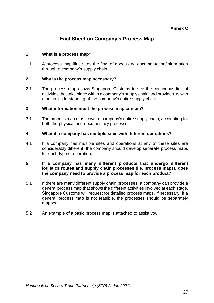#### **Annex C**

#### **Fact Sheet on Company's Process Map**

#### **1 What is a process map?**

1.1 A process map illustrates the flow of goods and documentation/information through a company's supply chain.

#### **2 Why is the process map necessary?**

2.1 The process map allows Singapore Customs to see the continuous link of activities that take place within a company's supply chain and provides us with a better understanding of the company's entire supply chain.

#### **3 What information must the process map contain?**

3.1 The process map must cover a company's entire supply chain, accounting for both the physical and documentary processes.

#### **4 What if a company has multiple sites with different operations?**

4.1 If a company has multiple sites and operations at any of these sites are considerably different, the company should develop separate process maps for each type of operation.

#### **5 If a company has many different products that undergo different logistics routes and supply chain processes (i.e. process maps), does the company need to provide a process map for each product?**

- 5.1 If there are many different supply chain processes, a company can provide a general process map that shows the different activities involved at each stage. Singapore Customs will request for detailed process maps, if necessary. If a general process map is not feasible, the processes should be separately mapped.
- 5.2 An example of a basic process map is attached to assist you.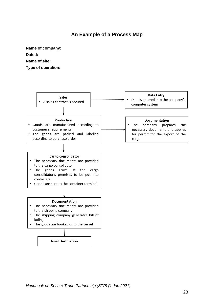#### **An Example of a Process Map**

**Name of company:**

**Dated:**

**Name of site:**

**Type of operation:**

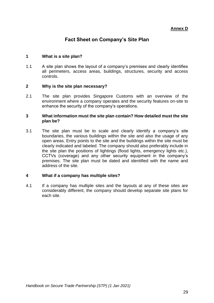#### **Annex D**

#### **Fact Sheet on Company's Site Plan**

#### **1 What is a site plan?**

1.1 A site plan shows the layout of a company's premises and clearly identifies all perimeters, access areas, buildings, structures, security and access controls.

#### **2 Why is the site plan necessary?**

2.1 The site plan provides Singapore Customs with an overview of the environment where a company operates and the security features on-site to enhance the security of the company's operations.

#### **3 What information must the site plan contain? How detailed must the site plan be?**

3.1 The site plan must be to scale and clearly identify a company's site boundaries, the various buildings within the site and also the usage of any open areas. Entry points to the site and the buildings within the site must be clearly indicated and labeled. The company should also preferably include in the site plan the positions of lightings (flood lights, emergency lights etc.), CCTVs (coverage) and any other security equipment in the company's premises. The site plan must be dated and identified with the name and address of the site.

#### **4 What if a company has multiple sites?**

4.1 If a company has multiple sites and the layouts at any of these sites are considerably different, the company should develop separate site plans for each site.